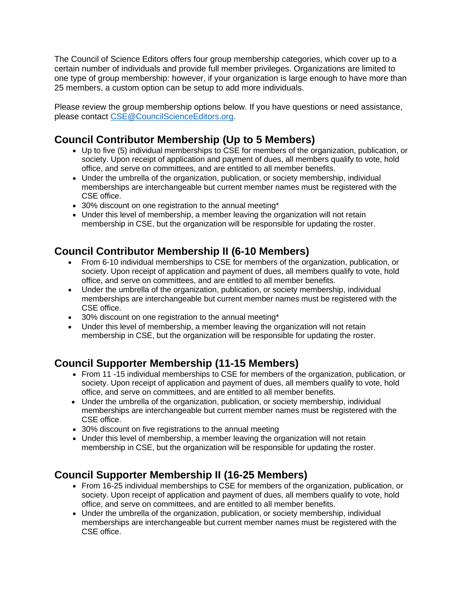The Council of Science Editors offers four group membership categories, which cover up to a certain number of individuals and provide full member privileges. Organizations are limited to one type of group membership: however, if your organization is large enough to have more than 25 members, a custom option can be setup to add more individuals.

Please review the group membership options below. If you have questions or need assistance, please contact [CSE@CouncilScienceEditors.org.](mailto:CSE@CouncilScienceEditors.org)

## **Council Contributor Membership (Up to 5 Members)**

- Up to five (5) individual memberships to CSE for members of the organization, publication, or society. Upon receipt of application and payment of dues, all members qualify to vote, hold office, and serve on committees, and are entitled to all member benefits.
- Under the umbrella of the organization, publication, or society membership, individual memberships are interchangeable but current member names must be registered with the CSE office.
- 30% discount on one registration to the annual meeting\*
- Under this level of membership, a member leaving the organization will not retain membership in CSE, but the organization will be responsible for updating the roster.

## **Council Contributor Membership II (6-10 Members)**

- From 6-10 individual memberships to CSE for members of the organization, publication, or society. Upon receipt of application and payment of dues, all members qualify to vote, hold office, and serve on committees, and are entitled to all member benefits.
- Under the umbrella of the organization, publication, or society membership, individual memberships are interchangeable but current member names must be registered with the CSE office.
- 30% discount on one registration to the annual meeting\*
- Under this level of membership, a member leaving the organization will not retain membership in CSE, but the organization will be responsible for updating the roster.

## **Council Supporter Membership (11-15 Members)**

- From 11 -15 individual memberships to CSE for members of the organization, publication, or society. Upon receipt of application and payment of dues, all members qualify to vote, hold office, and serve on committees, and are entitled to all member benefits.
- Under the umbrella of the organization, publication, or society membership, individual memberships are interchangeable but current member names must be registered with the CSE office.
- 30% discount on five registrations to the annual meeting
- Under this level of membership, a member leaving the organization will not retain membership in CSE, but the organization will be responsible for updating the roster.

## **Council Supporter Membership II (16-25 Members)**

- From 16-25 individual memberships to CSE for members of the organization, publication, or society. Upon receipt of application and payment of dues, all members qualify to vote, hold office, and serve on committees, and are entitled to all member benefits.
- Under the umbrella of the organization, publication, or society membership, individual memberships are interchangeable but current member names must be registered with the CSE office.